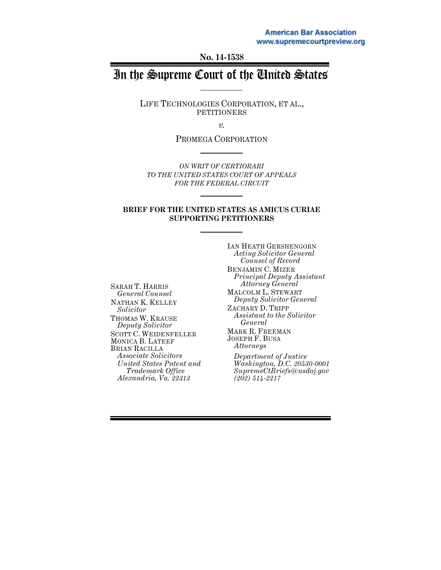**No. 14-1538**

# In the Supreme Court of the United States

LIFE TECHNOLOGIES CORPORATION, ET AL., PETITIONERS

*v.*

PROMEGA CORPORATION

*ON WRIT OF CERTIORARI TO THE UNITED STATES COURT OF APPEALS FOR THE FEDERAL CIRCUIT* 

#### **BRIEF FOR THE UNITED STATES AS AMICUS CURIAE SUPPORTING PETITIONERS**

SARAH T. HARRIS *General Counsel* NATHAN K. KELLEY *Solicitor* THOMAS W. KRAUSE *Deputy Solicitor* SCOTT C. WEIDENFELLER MONICA B. LATEEF BRIAN RACILLA *Associate Solicitors United States Patent and Trademark Office Alexandria, Va. 22313*

IAN HEATH GERSHENGORN *Acting Solicitor General Counsel of Record* BENJAMIN C. MIZER *Principal Deputy Assistant Attorney General* MALCOLM L. STEWART *Deputy Solicitor General* ZACHARY D. TRIPP *Assistant to the Solicitor General* MARK R. FREEMAN JOSEPH F. BUSA *Attorneys Department of Justice Washington, D.C. 20530-0001 SupremeCtBriefs@usdoj.gov*

*(202) 514-2217*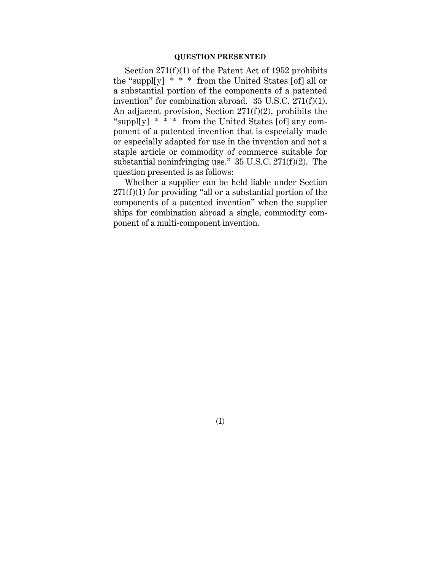#### **QUESTION PRESENTED**

Section 271(f)(1) of the Patent Act of 1952 prohibits the "suppl[y] \* \* \* from the United States [of] all or a substantial portion of the components of a patented invention" for combination abroad. 35 U.S.C. 271(f)(1). An adjacent provision, Section 271(f)(2), prohibits the "suppl[y]  $* * *$  from the United States [of] any component of a patented invention that is especially made or especially adapted for use in the invention and not a staple article or commodity of commerce suitable for substantial noninfringing use." 35 U.S.C. 271(f)(2). The question presented is as follows:

Whether a supplier can be held liable under Section  $271(f)(1)$  for providing "all or a substantial portion of the components of a patented invention" when the supplier ships for combination abroad a single, commodity component of a multi-component invention.

(I)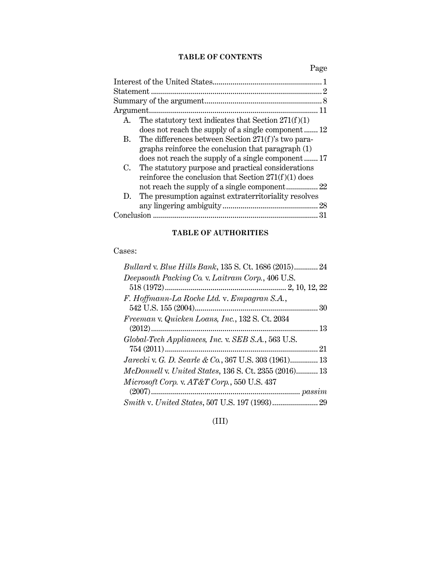## **TABLE OF CONTENTS**

Page

| The statutory text indicates that Section $271(f)(1)$<br>A. |  |
|-------------------------------------------------------------|--|
| does not reach the supply of a single component 12          |  |
| The differences between Section 271(f)'s two para-<br>В.    |  |
| graphs reinforce the conclusion that paragraph (1)          |  |
| does not reach the supply of a single component 17          |  |
| The statutory purpose and practical considerations<br>C.    |  |
| reinforce the conclusion that Section $271(f)(1)$ does      |  |
|                                                             |  |
| The presumption against extraterritoriality resolves<br>D.  |  |
|                                                             |  |
|                                                             |  |

### **TABLE OF AUTHORITIES**

# Cases:

| Bullard v. Blue Hills Bank, 135 S. Ct. 1686 (2015) 24        |
|--------------------------------------------------------------|
| Deepsouth Packing Co. v. Laitram Corp., 406 U.S.             |
|                                                              |
| F. Hoffmann-La Roche Ltd. v. Empagran S.A.,                  |
|                                                              |
| Freeman v. Quicken Loans, Inc., 132 S. Ct. 2034              |
|                                                              |
| Global-Tech Appliances, Inc. v. SEB S.A., 563 U.S.           |
|                                                              |
| <i>Jarecki</i> v. G. D. Searle & Co., 367 U.S. 303 (1961) 13 |
| McDonnell v. United States, 136 S. Ct. 2355 (2016) 13        |
| Microsoft Corp. v. AT&T Corp., 550 U.S. 437                  |
|                                                              |
|                                                              |

(III)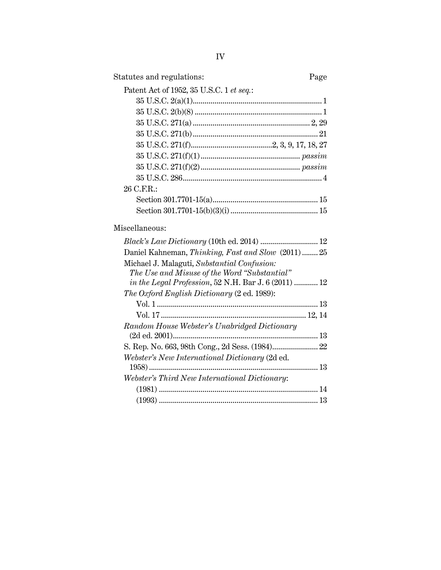| Statutes and regulations:                | Page |
|------------------------------------------|------|
| Patent Act of 1952, 35 U.S.C. 1 et seq.: |      |
|                                          |      |
|                                          |      |
|                                          |      |
|                                          |      |
|                                          |      |
|                                          |      |
|                                          |      |
|                                          |      |
| 26 C.F.R.:                               |      |
|                                          |      |
|                                          |      |
|                                          |      |

# Miscellaneous: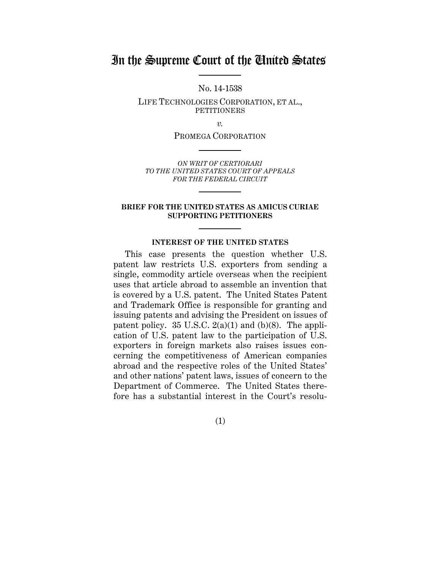# In the Supreme Court of the United States

No. 14-1538

LIFE TECHNOLOGIES CORPORATION, ET AL., PETITIONERS

*v.*

PROMEGA CORPORATION

*ON WRIT OF CERTIORARI TO THE UNITED STATES COURT OF APPEALS FOR THE FEDERAL CIRCUIT*

#### **BRIEF FOR THE UNITED STATES AS AMICUS CURIAE SUPPORTING PETITIONERS**

#### **INTEREST OF THE UNITED STATES**

This case presents the question whether U.S. patent law restricts U.S. exporters from sending a single, commodity article overseas when the recipient uses that article abroad to assemble an invention that is covered by a U.S. patent. The United States Patent and Trademark Office is responsible for granting and issuing patents and advising the President on issues of patent policy.  $35 \text{ U.S.C. } 2(a)(1)$  and (b)(8). The application of U.S. patent law to the participation of U.S. exporters in foreign markets also raises issues concerning the competitiveness of American companies abroad and the respective roles of the United States' and other nations' patent laws, issues of concern to the Department of Commerce. The United States therefore has a substantial interest in the Court's resolu-

(1)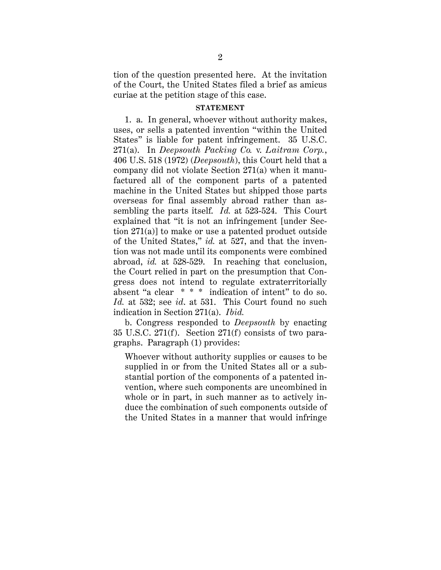tion of the question presented here. At the invitation of the Court, the United States filed a brief as amicus curiae at the petition stage of this case.

#### **STATEMENT**

1. a. In general, whoever without authority makes, uses, or sells a patented invention "within the United States" is liable for patent infringement. 35 U.S.C. 271(a). In *Deepsouth Packing Co.* v. *Laitram Corp.*, 406 U.S. 518 (1972) (*Deepsouth*), this Court held that a company did not violate Section 271(a) when it manufactured all of the component parts of a patented machine in the United States but shipped those parts overseas for final assembly abroad rather than assembling the parts itself. *Id.* at 523-524. This Court explained that "it is not an infringement [under Section 271(a)] to make or use a patented product outside of the United States," *id.* at 527, and that the invention was not made until its components were combined abroad, *id.* at 528-529. In reaching that conclusion, the Court relied in part on the presumption that Congress does not intend to regulate extraterritorially absent "a clear \* \* \* indication of intent" to do so. *Id.* at 532; see *id*. at 531. This Court found no such indication in Section 271(a). *Ibid.*

b. Congress responded to *Deepsouth* by enacting 35 U.S.C. 271(f). Section 271(f) consists of two paragraphs. Paragraph (1) provides:

Whoever without authority supplies or causes to be supplied in or from the United States all or a substantial portion of the components of a patented invention, where such components are uncombined in whole or in part, in such manner as to actively induce the combination of such components outside of the United States in a manner that would infringe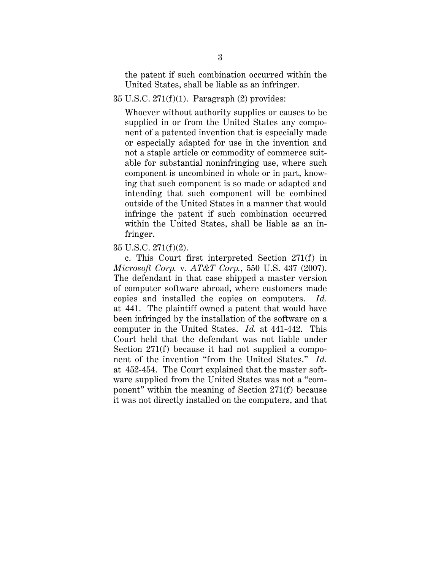the patent if such combination occurred within the United States, shall be liable as an infringer.

#### 35 U.S.C. 271(f)(1). Paragraph (2) provides:

Whoever without authority supplies or causes to be supplied in or from the United States any component of a patented invention that is especially made or especially adapted for use in the invention and not a staple article or commodity of commerce suitable for substantial noninfringing use, where such component is uncombined in whole or in part, knowing that such component is so made or adapted and intending that such component will be combined outside of the United States in a manner that would infringe the patent if such combination occurred within the United States, shall be liable as an infringer.

#### 35 U.S.C. 271(f)(2).

c. This Court first interpreted Section 271(f) in *Microsoft Corp.* v. *AT&T Corp.*, 550 U.S. 437 (2007). The defendant in that case shipped a master version of computer software abroad, where customers made copies and installed the copies on computers. *Id.* at 441. The plaintiff owned a patent that would have been infringed by the installation of the software on a computer in the United States. *Id.* at 441-442. This Court held that the defendant was not liable under Section 271(f) because it had not supplied a component of the invention "from the United States." *Id.* at 452-454. The Court explained that the master software supplied from the United States was not a "component" within the meaning of Section 271(f) because it was not directly installed on the computers, and that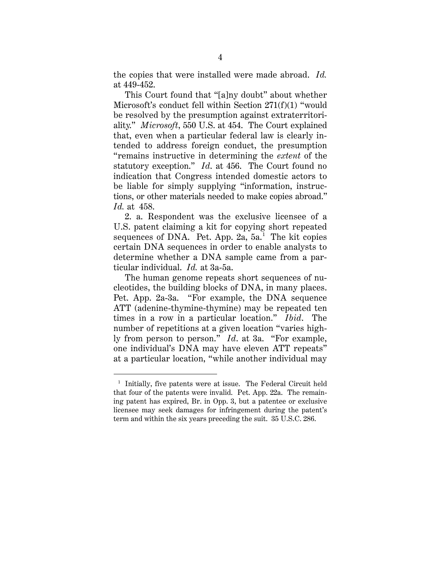the copies that were installed were made abroad. *Id.* at 449-452.

This Court found that "[a]ny doubt" about whether Microsoft's conduct fell within Section 271(f)(1) "would be resolved by the presumption against extraterritoriality." *Microsoft*, 550 U.S. at 454. The Court explained that, even when a particular federal law is clearly intended to address foreign conduct, the presumption "remains instructive in determining the *extent* of the statutory exception." *Id*. at 456. The Court found no indication that Congress intended domestic actors to be liable for simply supplying "information, instructions, or other materials needed to make copies abroad." *Id.* at 458.

2. a. Respondent was the exclusive licensee of a U.S. patent claiming a kit for copying short repeated sequences of DNA. Pet. App.  $2a$ ,  $5a$ .<sup>1</sup> The kit copies certain DNA sequences in order to enable analysts to determine whether a DNA sample came from a particular individual. *Id.* at 3a-5a.

The human genome repeats short sequences of nucleotides, the building blocks of DNA, in many places. Pet. App. 2a-3a. "For example, the DNA sequence ATT (adenine-thymine-thymine) may be repeated ten times in a row in a particular location." *Ibid*. The number of repetitions at a given location "varies highly from person to person." *Id*. at 3a. "For example, one individual's DNA may have eleven ATT repeats" at a particular location, "while another individual may

<sup>&</sup>lt;sup>1</sup> Initially, five patents were at issue. The Federal Circuit held that four of the patents were invalid. Pet. App. 22a. The remaining patent has expired, Br. in Opp. 3, but a patentee or exclusive licensee may seek damages for infringement during the patent's term and within the six years preceding the suit. 35 U.S.C. 286.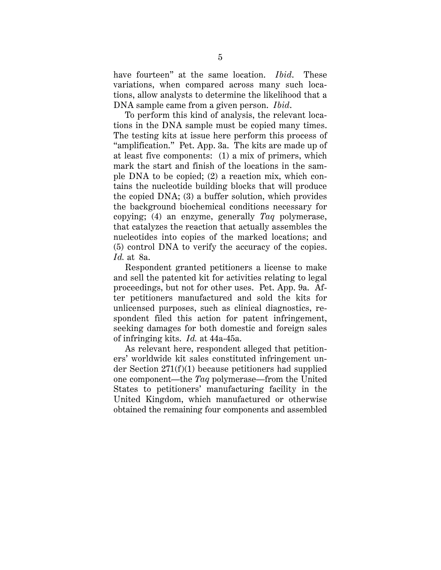have fourteen" at the same location. *Ibid*. These variations, when compared across many such locations, allow analysts to determine the likelihood that a DNA sample came from a given person. *Ibid*.

To perform this kind of analysis, the relevant locations in the DNA sample must be copied many times. The testing kits at issue here perform this process of "amplification." Pet. App. 3a. The kits are made up of at least five components: (1) a mix of primers, which mark the start and finish of the locations in the sample DNA to be copied; (2) a reaction mix, which contains the nucleotide building blocks that will produce the copied DNA; (3) a buffer solution, which provides the background biochemical conditions necessary for copying; (4) an enzyme, generally *Taq* polymerase, that catalyzes the reaction that actually assembles the nucleotides into copies of the marked locations; and (5) control DNA to verify the accuracy of the copies. *Id.* at 8a.

Respondent granted petitioners a license to make and sell the patented kit for activities relating to legal proceedings, but not for other uses. Pet. App. 9a. After petitioners manufactured and sold the kits for unlicensed purposes, such as clinical diagnostics, respondent filed this action for patent infringement, seeking damages for both domestic and foreign sales of infringing kits. *Id.* at 44a-45a.

As relevant here, respondent alleged that petitioners' worldwide kit sales constituted infringement under Section 271(f)(1) because petitioners had supplied one component—the *Taq* polymerase—from the United States to petitioners' manufacturing facility in the United Kingdom, which manufactured or otherwise obtained the remaining four components and assembled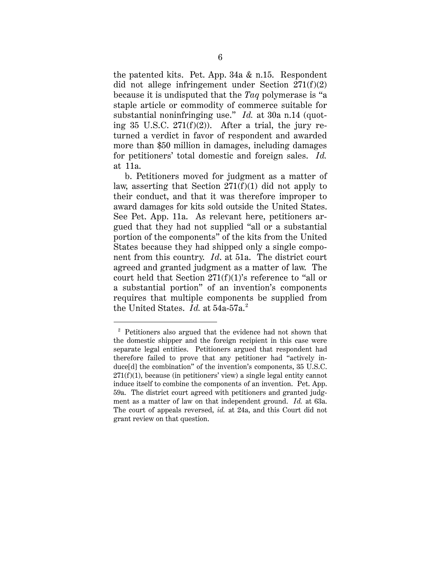the patented kits. Pet. App. 34a & n.15. Respondent did not allege infringement under Section 271(f)(2) because it is undisputed that the *Taq* polymerase is "a staple article or commodity of commerce suitable for substantial noninfringing use." *Id.* at 30a n.14 (quoting 35 U.S.C.  $271(f)(2)$ ). After a trial, the jury returned a verdict in favor of respondent and awarded more than \$50 million in damages, including damages for petitioners' total domestic and foreign sales. *Id.* at 11a.

b. Petitioners moved for judgment as a matter of law, asserting that Section  $271(f)(1)$  did not apply to their conduct, and that it was therefore improper to award damages for kits sold outside the United States. See Pet. App. 11a. As relevant here, petitioners argued that they had not supplied "all or a substantial portion of the components" of the kits from the United States because they had shipped only a single component from this country. *Id*. at 51a. The district court agreed and granted judgment as a matter of law. The court held that Section 271(f)(1)'s reference to "all or a substantial portion" of an invention's components requires that multiple components be supplied from the United States. *Id.* at 54a-57a.<sup>2</sup>

 <sup>2</sup> Petitioners also argued that the evidence had not shown that the domestic shipper and the foreign recipient in this case were separate legal entities. Petitioners argued that respondent had therefore failed to prove that any petitioner had "actively induce[d] the combination" of the invention's components, 35 U.S.C.  $271(f)(1)$ , because (in petitioners' view) a single legal entity cannot induce itself to combine the components of an invention. Pet. App. 59a. The district court agreed with petitioners and granted judgment as a matter of law on that independent ground. *Id.* at 63a. The court of appeals reversed, *id.* at 24a, and this Court did not grant review on that question.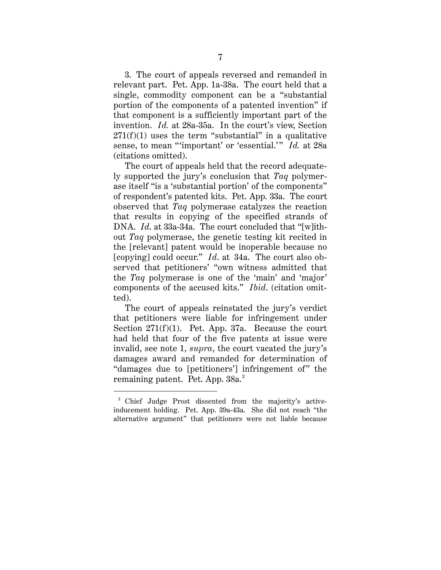3. The court of appeals reversed and remanded in relevant part. Pet. App. 1a-38a. The court held that a single, commodity component can be a "substantial portion of the components of a patented invention" if that component is a sufficiently important part of the invention. *Id.* at 28a-35a. In the court's view, Section  $271(f)(1)$  uses the term "substantial" in a qualitative sense, to mean "'important' or 'essential.'" *Id.* at 28a (citations omitted).

The court of appeals held that the record adequately supported the jury's conclusion that *Taq* polymerase itself "is a 'substantial portion' of the components" of respondent's patented kits. Pet. App. 33a. The court observed that *Taq* polymerase catalyzes the reaction that results in copying of the specified strands of DNA. *Id*. at 33a-34a. The court concluded that "[w]ithout *Taq* polymerase, the genetic testing kit recited in the [relevant] patent would be inoperable because no [copying] could occur." *Id*. at 34a. The court also observed that petitioners' "own witness admitted that the *Taq* polymerase is one of the 'main' and 'major' components of the accused kits." *Ibid*. (citation omitted).

The court of appeals reinstated the jury's verdict that petitioners were liable for infringement under Section  $271(f)(1)$ . Pet. App. 37a. Because the court had held that four of the five patents at issue were invalid, see note 1, *supra*, the court vacated the jury's damages award and remanded for determination of "damages due to [petitioners'] infringement of" the remaining patent. Pet. App. 38a.<sup>3</sup>

 <sup>3</sup> Chief Judge Prost dissented from the majority's activeinducement holding. Pet. App. 39a-43a. She did not reach "the alternative argument" that petitioners were not liable because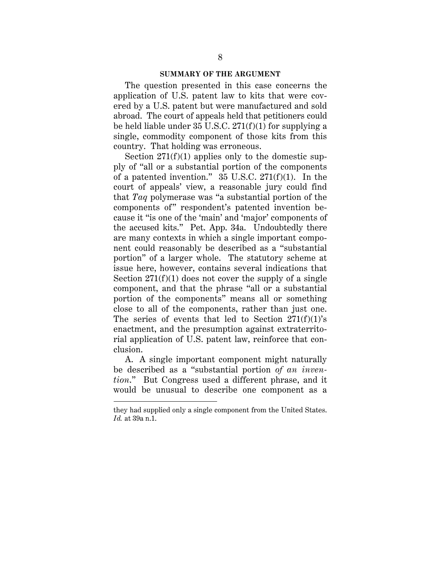#### **SUMMARY OF THE ARGUMENT**

The question presented in this case concerns the application of U.S. patent law to kits that were covered by a U.S. patent but were manufactured and sold abroad. The court of appeals held that petitioners could be held liable under 35 U.S.C. 271(f)(1) for supplying a single, commodity component of those kits from this country. That holding was erroneous.

Section  $271(f)(1)$  applies only to the domestic supply of "all or a substantial portion of the components of a patented invention."  $35 \text{ U.S.C. } 271 \text{ (f)}(1)$ . In the court of appeals' view, a reasonable jury could find that *Taq* polymerase was "a substantial portion of the components of" respondent's patented invention because it "is one of the 'main' and 'major' components of the accused kits." Pet. App. 34a. Undoubtedly there are many contexts in which a single important component could reasonably be described as a "substantial portion" of a larger whole. The statutory scheme at issue here, however, contains several indications that Section  $271(f)(1)$  does not cover the supply of a single component, and that the phrase "all or a substantial portion of the components" means all or something close to all of the components, rather than just one. The series of events that led to Section  $271(f)(1)$ 's enactment, and the presumption against extraterritorial application of U.S. patent law, reinforce that conclusion.

A. A single important component might naturally be described as a "substantial portion *of an invention*." But Congress used a different phrase, and it would be unusual to describe one component as a

 $\overline{a}$ 

they had supplied only a single component from the United States. *Id.* at 39a n.1.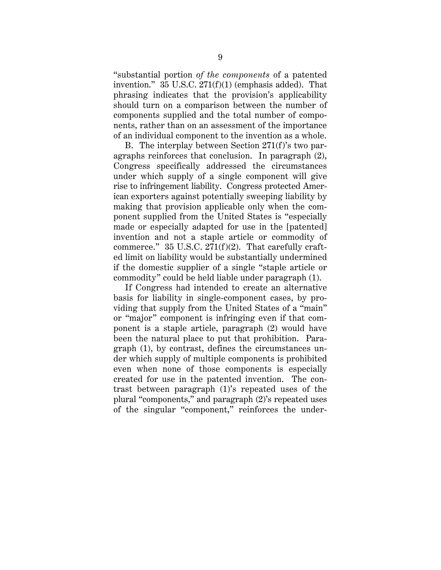"substantial portion *of the components* of a patented invention." 35 U.S.C. 271(f)(1) (emphasis added). That phrasing indicates that the provision's applicability should turn on a comparison between the number of components supplied and the total number of components, rather than on an assessment of the importance of an individual component to the invention as a whole.

B. The interplay between Section 271(f)'s two paragraphs reinforces that conclusion. In paragraph (2), Congress specifically addressed the circumstances under which supply of a single component will give rise to infringement liability. Congress protected American exporters against potentially sweeping liability by making that provision applicable only when the component supplied from the United States is "especially made or especially adapted for use in the [patented] invention and not a staple article or commodity of commerce." 35 U.S.C. 271(f)(2). That carefully crafted limit on liability would be substantially undermined if the domestic supplier of a single "staple article or commodity" could be held liable under paragraph (1).

If Congress had intended to create an alternative basis for liability in single-component cases, by providing that supply from the United States of a "main" or "major" component is infringing even if that component is a staple article, paragraph (2) would have been the natural place to put that prohibition. Paragraph (1), by contrast, defines the circumstances under which supply of multiple components is prohibited even when none of those components is especially created for use in the patented invention. The contrast between paragraph (1)'s repeated uses of the plural "components," and paragraph (2)'s repeated uses of the singular "component," reinforces the under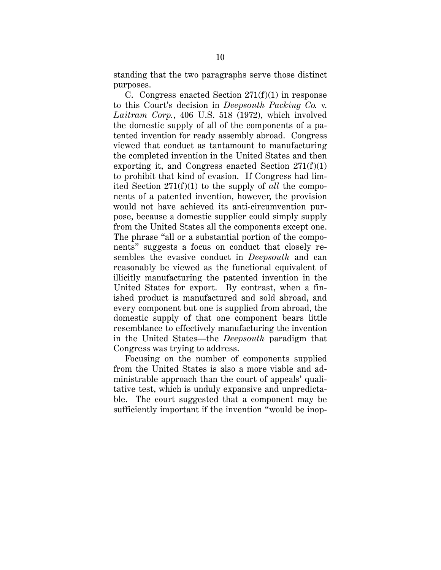standing that the two paragraphs serve those distinct purposes.

C. Congress enacted Section  $271(f)(1)$  in response to this Court's decision in *Deepsouth Packing Co.* v. *Laitram Corp.*, 406 U.S. 518 (1972), which involved the domestic supply of all of the components of a patented invention for ready assembly abroad. Congress viewed that conduct as tantamount to manufacturing the completed invention in the United States and then exporting it, and Congress enacted Section  $271(f)(1)$ to prohibit that kind of evasion. If Congress had limited Section 271(f)(1) to the supply of *all* the components of a patented invention, however, the provision would not have achieved its anti-circumvention purpose, because a domestic supplier could simply supply from the United States all the components except one. The phrase "all or a substantial portion of the components" suggests a focus on conduct that closely resembles the evasive conduct in *Deepsouth* and can reasonably be viewed as the functional equivalent of illicitly manufacturing the patented invention in the United States for export. By contrast, when a finished product is manufactured and sold abroad, and every component but one is supplied from abroad, the domestic supply of that one component bears little resemblance to effectively manufacturing the invention in the United States—the *Deepsouth* paradigm that Congress was trying to address.

Focusing on the number of components supplied from the United States is also a more viable and administrable approach than the court of appeals' qualitative test, which is unduly expansive and unpredictable. The court suggested that a component may be sufficiently important if the invention "would be inop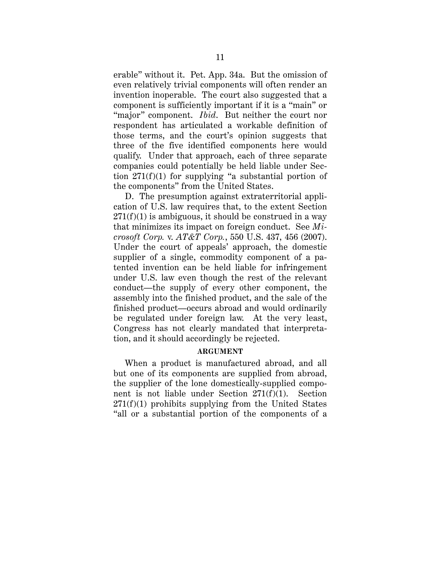erable" without it. Pet. App. 34a. But the omission of even relatively trivial components will often render an invention inoperable. The court also suggested that a component is sufficiently important if it is a "main" or "major" component. *Ibid*. But neither the court nor respondent has articulated a workable definition of those terms, and the court's opinion suggests that three of the five identified components here would qualify. Under that approach, each of three separate companies could potentially be held liable under Section  $271(f)(1)$  for supplying "a substantial portion of the components" from the United States.

D. The presumption against extraterritorial application of U.S. law requires that, to the extent Section  $271(f)(1)$  is ambiguous, it should be construed in a way that minimizes its impact on foreign conduct. See *Microsoft Corp.* v. *AT&T Corp.*, 550 U.S. 437, 456 (2007). Under the court of appeals' approach, the domestic supplier of a single, commodity component of a patented invention can be held liable for infringement under U.S. law even though the rest of the relevant conduct—the supply of every other component, the assembly into the finished product, and the sale of the finished product—occurs abroad and would ordinarily be regulated under foreign law. At the very least, Congress has not clearly mandated that interpretation, and it should accordingly be rejected.

#### **ARGUMENT**

When a product is manufactured abroad, and all but one of its components are supplied from abroad, the supplier of the lone domestically-supplied component is not liable under Section 271(f)(1). Section  $271(f)(1)$  prohibits supplying from the United States "all or a substantial portion of the components of a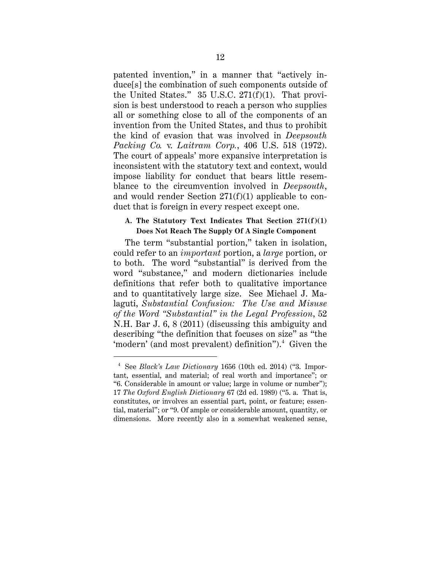patented invention," in a manner that "actively induce[s] the combination of such components outside of the United States." 35 U.S.C. 271(f)(1). That provision is best understood to reach a person who supplies all or something close to all of the components of an invention from the United States, and thus to prohibit the kind of evasion that was involved in *Deepsouth Packing Co.* v. *Laitram Corp.*, 406 U.S. 518 (1972). The court of appeals' more expansive interpretation is inconsistent with the statutory text and context, would impose liability for conduct that bears little resemblance to the circumvention involved in *Deepsouth*, and would render Section 271(f)(1) applicable to conduct that is foreign in every respect except one.

#### **A. The Statutory Text Indicates That Section 271(f)(1) Does Not Reach The Supply Of A Single Component**

The term "substantial portion," taken in isolation, could refer to an *important* portion, a *large* portion, or to both. The word "substantial" is derived from the word "substance," and modern dictionaries include definitions that refer both to qualitative importance and to quantitatively large size. See Michael J. Malaguti, *Substantial Confusion: The Use and Misuse of the Word "Substantial" in the Legal Profession*, 52 N.H. Bar J. 6, 8 (2011) (discussing this ambiguity and describing "the definition that focuses on size" as "the 'modern' (and most prevalent) definition").<sup>4</sup> Given the

 <sup>4</sup> See *Black's Law Dictionary* 1656 (10th ed. 2014) ("3. Important, essential, and material; of real worth and importance"; or "6. Considerable in amount or value; large in volume or number"); 17 *The Oxford English Dictionary* 67 (2d ed. 1989) ("5. a. That is, constitutes, or involves an essential part, point, or feature; essential, material"; or "9. Of ample or considerable amount, quantity, or dimensions. More recently also in a somewhat weakened sense,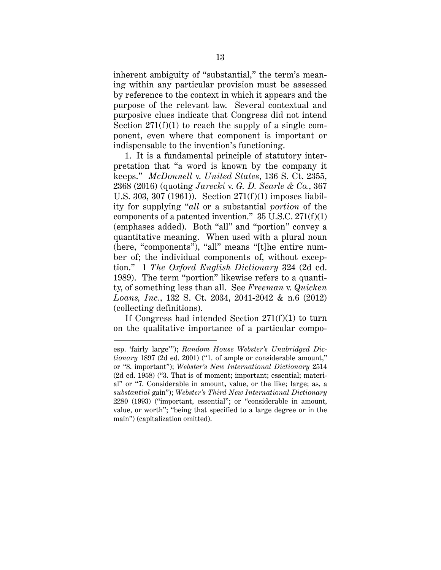inherent ambiguity of "substantial," the term's meaning within any particular provision must be assessed by reference to the context in which it appears and the purpose of the relevant law. Several contextual and purposive clues indicate that Congress did not intend Section  $271(f)(1)$  to reach the supply of a single component, even where that component is important or indispensable to the invention's functioning.

1. It is a fundamental principle of statutory interpretation that "a word is known by the company it keeps." *McDonnell* v. *United States*, 136 S. Ct. 2355, 2368 (2016) (quoting *Jarecki* v. *G. D. Searle & Co.*, 367 U.S. 303, 307 (1961)). Section 271(f)(1) imposes liability for supplying "*all* or a substantial *portion* of the components of a patented invention."  $35$  U.S.C.  $271(f)(1)$ (emphases added). Both "all" and "portion" convey a quantitative meaning. When used with a plural noun (here, "components"), "all" means "[t]he entire number of; the individual components of, without exception." 1 *The Oxford English Dictionary* 324 (2d ed. 1989). The term "portion" likewise refers to a quantity, of something less than all. See *Freeman* v. *Quicken Loans, Inc.*, 132 S. Ct. 2034, 2041-2042 & n.6 (2012) (collecting definitions).

If Congress had intended Section  $271(f)(1)$  to turn on the qualitative importance of a particular compo-

 $\overline{a}$ 

esp. 'fairly large'"); *Random House Webster's Unabridged Dictionary* 1897 (2d ed. 2001) ("1. of ample or considerable amount," or "8. important"); *Webster's New International Dictionary* 2514 (2d ed. 1958) ("3. That is of moment; important; essential; material" or "7. Considerable in amount, value, or the like; large; as, a *substantial* gain"); *Webster's Third New International Dictionary*  2280 (1993) ("important, essential"; or "considerable in amount, value, or worth"; "being that specified to a large degree or in the main") (capitalization omitted).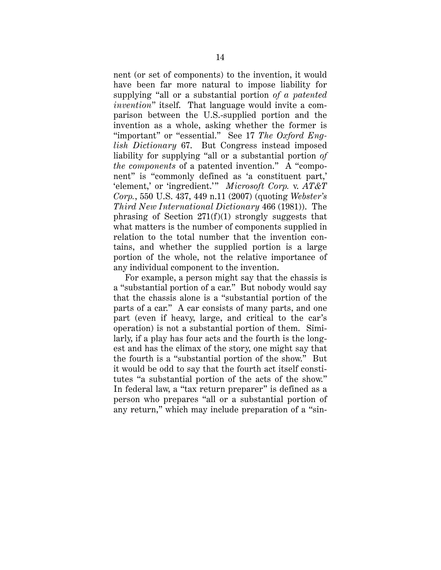nent (or set of components) to the invention, it would have been far more natural to impose liability for supplying "all or a substantial portion *of a patented invention*" itself. That language would invite a comparison between the U.S.-supplied portion and the invention as a whole, asking whether the former is "important" or "essential." See 17 *The Oxford English Dictionary* 67. But Congress instead imposed liability for supplying "all or a substantial portion *of the components* of a patented invention." A "component" is "commonly defined as 'a constituent part,' 'element,' or 'ingredient.'" *Microsoft Corp.* v. *AT&T Corp.*, 550 U.S. 437, 449 n.11 (2007) (quoting *Webster's Third New International Dictionary* 466 (1981)). The phrasing of Section  $271(f)(1)$  strongly suggests that what matters is the number of components supplied in relation to the total number that the invention contains, and whether the supplied portion is a large portion of the whole, not the relative importance of any individual component to the invention.

For example, a person might say that the chassis is a "substantial portion of a car." But nobody would say that the chassis alone is a "substantial portion of the parts of a car." A car consists of many parts, and one part (even if heavy, large, and critical to the car's operation) is not a substantial portion of them. Similarly, if a play has four acts and the fourth is the longest and has the climax of the story, one might say that the fourth is a "substantial portion of the show." But it would be odd to say that the fourth act itself constitutes "a substantial portion of the acts of the show." In federal law, a "tax return preparer" is defined as a person who prepares "all or a substantial portion of any return," which may include preparation of a "sin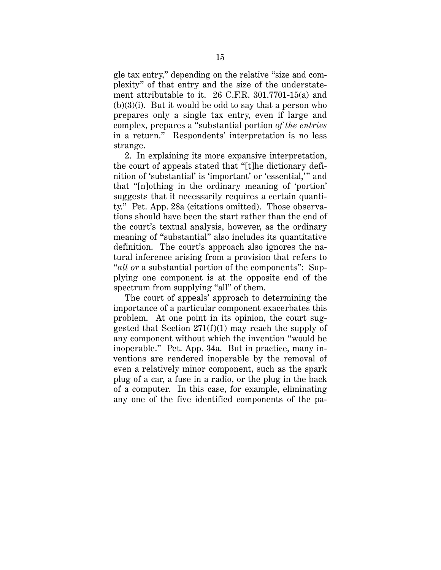gle tax entry," depending on the relative "size and complexity" of that entry and the size of the understatement attributable to it. 26 C.F.R. 301.7701-15(a) and  $(b)(3)(i)$ . But it would be odd to say that a person who prepares only a single tax entry, even if large and complex, prepares a "substantial portion *of the entries* in a return." Respondents' interpretation is no less strange.

2. In explaining its more expansive interpretation, the court of appeals stated that "[t]he dictionary definition of 'substantial' is 'important' or 'essential,'" and that "[n]othing in the ordinary meaning of 'portion' suggests that it necessarily requires a certain quantity." Pet. App. 28a (citations omitted). Those observations should have been the start rather than the end of the court's textual analysis, however, as the ordinary meaning of "substantial" also includes its quantitative definition. The court's approach also ignores the natural inference arising from a provision that refers to "*all or* a substantial portion of the components": Supplying one component is at the opposite end of the spectrum from supplying "all" of them.

The court of appeals' approach to determining the importance of a particular component exacerbates this problem. At one point in its opinion, the court suggested that Section 271(f)(1) may reach the supply of any component without which the invention "would be inoperable." Pet. App. 34a. But in practice, many inventions are rendered inoperable by the removal of even a relatively minor component, such as the spark plug of a car, a fuse in a radio, or the plug in the back of a computer. In this case, for example, eliminating any one of the five identified components of the pa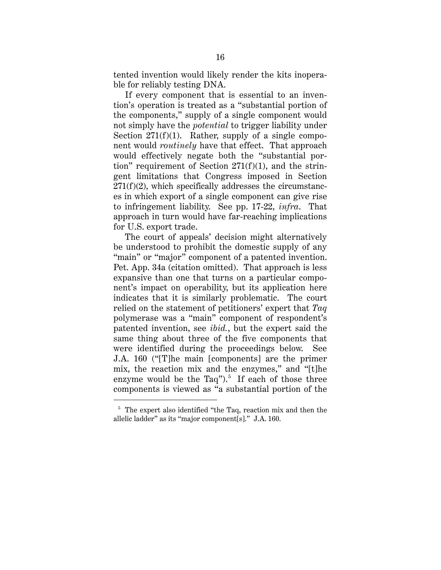tented invention would likely render the kits inoperable for reliably testing DNA.

If every component that is essential to an invention's operation is treated as a "substantial portion of the components," supply of a single component would not simply have the *potential* to trigger liability under Section  $271(f)(1)$ . Rather, supply of a single component would *routinely* have that effect. That approach would effectively negate both the "substantial portion" requirement of Section  $271(f)(1)$ , and the stringent limitations that Congress imposed in Section  $271(f)(2)$ , which specifically addresses the circumstances in which export of a single component can give rise to infringement liability. See pp. 17-22, *infra*. That approach in turn would have far-reaching implications for U.S. export trade.

The court of appeals' decision might alternatively be understood to prohibit the domestic supply of any "main" or "major" component of a patented invention. Pet. App. 34a (citation omitted). That approach is less expansive than one that turns on a particular component's impact on operability, but its application here indicates that it is similarly problematic. The court relied on the statement of petitioners' expert that *Taq* polymerase was a "main" component of respondent's patented invention, see *ibid.*, but the expert said the same thing about three of the five components that were identified during the proceedings below. See J.A. 160 ("[T]he main [components] are the primer mix, the reaction mix and the enzymes," and "[t]he enzyme would be the Taq").<sup>5</sup> If each of those three components is viewed as "a substantial portion of the

<sup>&</sup>lt;sup>5</sup> The expert also identified "the Taq, reaction mix and then the allelic ladder" as its "major component[s]." J.A. 160.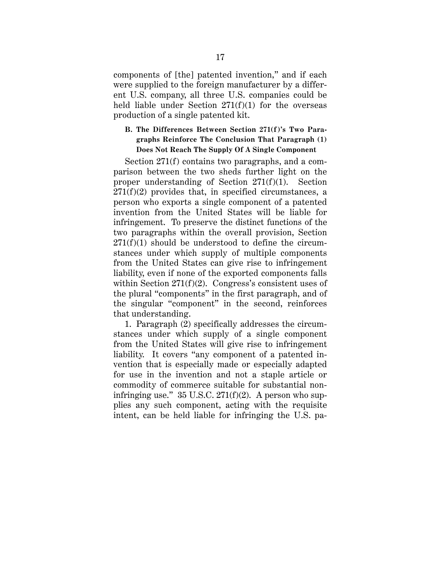components of [the] patented invention," and if each were supplied to the foreign manufacturer by a different U.S. company, all three U.S. companies could be held liable under Section  $271(f)(1)$  for the overseas production of a single patented kit.

## **B. The Differences Between Section 271(f)'s Two Paragraphs Reinforce The Conclusion That Paragraph (1) Does Not Reach The Supply Of A Single Component**

Section 271(f) contains two paragraphs, and a comparison between the two sheds further light on the proper understanding of Section 271(f)(1). Section  $271(f)(2)$  provides that, in specified circumstances, a person who exports a single component of a patented invention from the United States will be liable for infringement. To preserve the distinct functions of the two paragraphs within the overall provision, Section  $271(f)(1)$  should be understood to define the circumstances under which supply of multiple components from the United States can give rise to infringement liability, even if none of the exported components falls within Section  $271(f)(2)$ . Congress's consistent uses of the plural "components" in the first paragraph, and of the singular "component" in the second, reinforces that understanding.

1. Paragraph (2) specifically addresses the circumstances under which supply of a single component from the United States will give rise to infringement liability. It covers "any component of a patented invention that is especially made or especially adapted for use in the invention and not a staple article or commodity of commerce suitable for substantial noninfringing use."  $35 \text{ U.S.C. } 271 \text{ (f)} \text{ (2)}.$  A person who supplies any such component, acting with the requisite intent, can be held liable for infringing the U.S. pa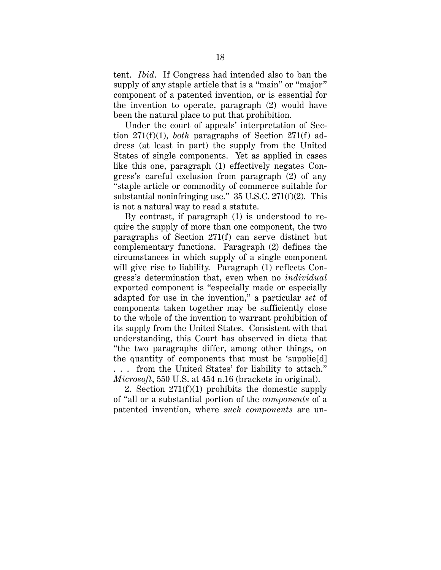tent. *Ibid*. If Congress had intended also to ban the supply of any staple article that is a "main" or "major" component of a patented invention, or is essential for the invention to operate, paragraph (2) would have been the natural place to put that prohibition.

Under the court of appeals' interpretation of Section 271(f)(1), *both* paragraphs of Section 271(f) address (at least in part) the supply from the United States of single components. Yet as applied in cases like this one, paragraph (1) effectively negates Congress's careful exclusion from paragraph (2) of any "staple article or commodity of commerce suitable for substantial noninfringing use." 35 U.S.C. 271(f)(2). This is not a natural way to read a statute.

By contrast, if paragraph (1) is understood to require the supply of more than one component, the two paragraphs of Section 271(f) can serve distinct but complementary functions. Paragraph (2) defines the circumstances in which supply of a single component will give rise to liability. Paragraph (1) reflects Congress's determination that, even when no *individual* exported component is "especially made or especially adapted for use in the invention," a particular *set* of components taken together may be sufficiently close to the whole of the invention to warrant prohibition of its supply from the United States. Consistent with that understanding, this Court has observed in dicta that "the two paragraphs differ, among other things, on the quantity of components that must be 'supplie[d] . . . from the United States' for liability to attach." *Microsoft*, 550 U.S. at 454 n.16 (brackets in original).

2. Section  $271(f)(1)$  prohibits the domestic supply of "all or a substantial portion of the *components* of a patented invention, where *such components* are un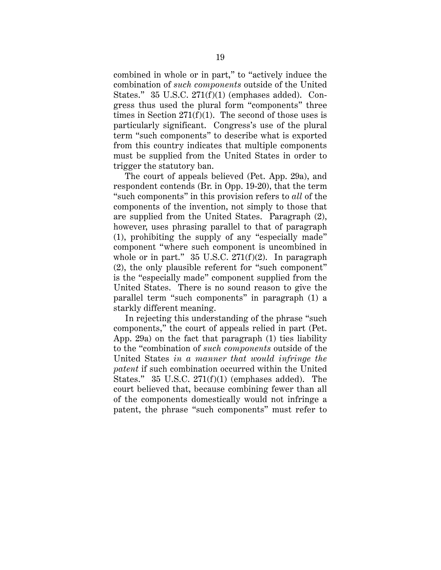combined in whole or in part," to "actively induce the combination of *such components* outside of the United States." 35 U.S.C. 271(f)(1) (emphases added). Congress thus used the plural form "components" three times in Section  $271(f)(1)$ . The second of those uses is particularly significant. Congress's use of the plural term "such components" to describe what is exported from this country indicates that multiple components must be supplied from the United States in order to trigger the statutory ban.

The court of appeals believed (Pet. App. 29a), and respondent contends (Br. in Opp. 19-20), that the term "such components" in this provision refers to *all* of the components of the invention, not simply to those that are supplied from the United States. Paragraph (2), however, uses phrasing parallel to that of paragraph (1), prohibiting the supply of any "especially made" component "where such component is uncombined in whole or in part."  $35 \text{ U.S.C. } 271 \text{ (f)} \text{ (2)}.$  In paragraph (2), the only plausible referent for "such component" is the "especially made" component supplied from the United States. There is no sound reason to give the parallel term "such components" in paragraph (1) a starkly different meaning.

In rejecting this understanding of the phrase "such components," the court of appeals relied in part (Pet. App. 29a) on the fact that paragraph (1) ties liability to the "combination of *such components* outside of the United States *in a manner that would infringe the patent* if such combination occurred within the United States." 35 U.S.C. 271(f)(1) (emphases added). The court believed that, because combining fewer than all of the components domestically would not infringe a patent, the phrase "such components" must refer to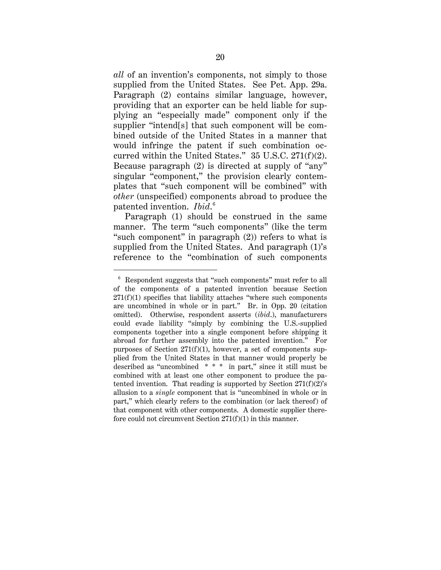*all* of an invention's components, not simply to those supplied from the United States. See Pet. App. 29a. Paragraph (2) contains similar language, however, providing that an exporter can be held liable for supplying an "especially made" component only if the supplier "intend[s] that such component will be combined outside of the United States in a manner that would infringe the patent if such combination occurred within the United States." 35 U.S.C. 271(f)(2). Because paragraph (2) is directed at supply of "any" singular "component," the provision clearly contemplates that "such component will be combined" with *other* (unspecified) components abroad to produce the patented invention. *Ibid*. 6

Paragraph (1) should be construed in the same manner. The term "such components" (like the term "such component" in paragraph (2)) refers to what is supplied from the United States. And paragraph (1)'s reference to the "combination of such components

<sup>&</sup>lt;sup>6</sup> Respondent suggests that "such components" must refer to all of the components of a patented invention because Section  $271(f)(1)$  specifies that liability attaches "where such components are uncombined in whole or in part." Br. in Opp. 20 (citation omitted). Otherwise, respondent asserts (*ibid*.), manufacturers could evade liability "simply by combining the U.S.-supplied components together into a single component before shipping it abroad for further assembly into the patented invention." For purposes of Section 271(f)(1), however, a set of components supplied from the United States in that manner would properly be described as "uncombined \* \* \* in part," since it still must be combined with at least one other component to produce the patented invention. That reading is supported by Section  $271(f)(2)$ 's allusion to a *single* component that is "uncombined in whole or in part," which clearly refers to the combination (or lack thereof) of that component with other components. A domestic supplier therefore could not circumvent Section 271(f)(1) in this manner.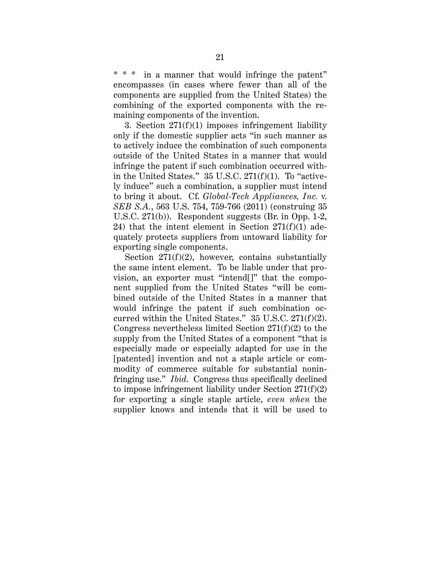in a manner that would infringe the patent" encompasses (in cases where fewer than all of the components are supplied from the United States) the combining of the exported components with the remaining components of the invention.

3. Section  $271(f)(1)$  imposes infringement liability only if the domestic supplier acts "in such manner as to actively induce the combination of such components outside of the United States in a manner that would infringe the patent if such combination occurred within the United States."  $35$  U.S.C.  $271(f)(1)$ . To "actively induce" such a combination, a supplier must intend to bring it about. Cf. *Global-Tech Appliances, Inc.* v. *SEB S.A.*, 563 U.S. 754, 759-766 (2011) (construing 35 U.S.C. 271(b)). Respondent suggests (Br. in Opp. 1-2, 24) that the intent element in Section  $271(f)(1)$  adequately protects suppliers from untoward liability for exporting single components.

Section 271(f)(2), however, contains substantially the same intent element. To be liable under that provision, an exporter must "intend[]" that the component supplied from the United States "will be combined outside of the United States in a manner that would infringe the patent if such combination occurred within the United States." 35 U.S.C. 271(f)(2). Congress nevertheless limited Section 271(f)(2) to the supply from the United States of a component "that is especially made or especially adapted for use in the [patented] invention and not a staple article or commodity of commerce suitable for substantial noninfringing use." *Ibid*. Congress thus specifically declined to impose infringement liability under Section 271(f)(2) for exporting a single staple article, *even when* the supplier knows and intends that it will be used to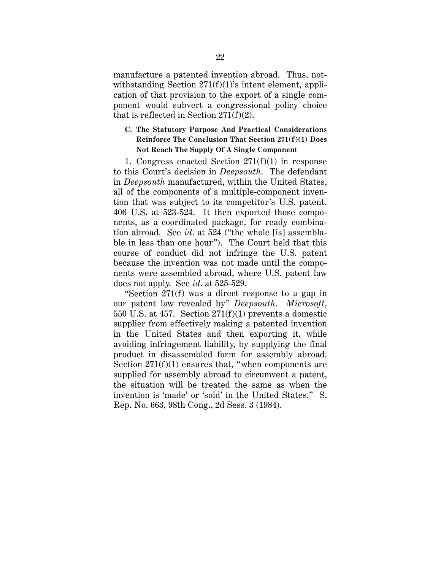manufacture a patented invention abroad. Thus, notwithstanding Section  $271(f)(1)$ 's intent element, application of that provision to the export of a single component would subvert a congressional policy choice that is reflected in Section 271(f)(2).

## **C. The Statutory Purpose And Practical Considerations Reinforce The Conclusion That Section 271(f)(1) Does Not Reach The Supply Of A Single Component**

1. Congress enacted Section  $271(f)(1)$  in response to this Court's decision in *Deepsouth*. The defendant in *Deepsouth* manufactured, within the United States, all of the components of a multiple-component invention that was subject to its competitor's U.S. patent. 406 U.S. at 523-524. It then exported those components, as a coordinated package, for ready combination abroad. See *id*. at 524 ("the whole [is] assemblable in less than one hour"). The Court held that this course of conduct did not infringe the U.S. patent because the invention was not made until the components were assembled abroad, where U.S. patent law does not apply. See *id*. at 525-529.

"Section 271(f) was a direct response to a gap in our patent law revealed by" *Deepsouth*. *Microsoft*, 550 U.S. at 457. Section 271(f)(1) prevents a domestic supplier from effectively making a patented invention in the United States and then exporting it, while avoiding infringement liability, by supplying the final product in disassembled form for assembly abroad. Section  $271(f)(1)$  ensures that, "when components are supplied for assembly abroad to circumvent a patent, the situation will be treated the same as when the invention is 'made' or 'sold' in the United States." S. Rep. No. 663, 98th Cong., 2d Sess. 3 (1984).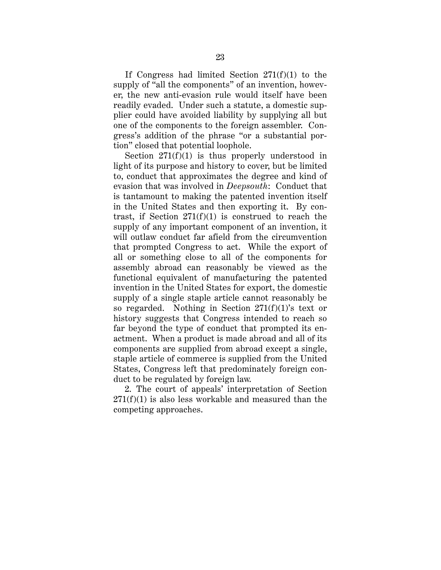If Congress had limited Section  $271(f)(1)$  to the supply of "all the components" of an invention, however, the new anti-evasion rule would itself have been readily evaded. Under such a statute, a domestic supplier could have avoided liability by supplying all but one of the components to the foreign assembler. Congress's addition of the phrase "or a substantial portion" closed that potential loophole.

Section  $271(f)(1)$  is thus properly understood in light of its purpose and history to cover, but be limited to, conduct that approximates the degree and kind of evasion that was involved in *Deepsouth*: Conduct that is tantamount to making the patented invention itself in the United States and then exporting it. By contrast, if Section  $271(f)(1)$  is construed to reach the supply of any important component of an invention, it will outlaw conduct far afield from the circumvention that prompted Congress to act. While the export of all or something close to all of the components for assembly abroad can reasonably be viewed as the functional equivalent of manufacturing the patented invention in the United States for export, the domestic supply of a single staple article cannot reasonably be so regarded. Nothing in Section  $271(f)(1)$ 's text or history suggests that Congress intended to reach so far beyond the type of conduct that prompted its enactment. When a product is made abroad and all of its components are supplied from abroad except a single, staple article of commerce is supplied from the United States, Congress left that predominately foreign conduct to be regulated by foreign law.

2. The court of appeals' interpretation of Section  $271(f)(1)$  is also less workable and measured than the competing approaches.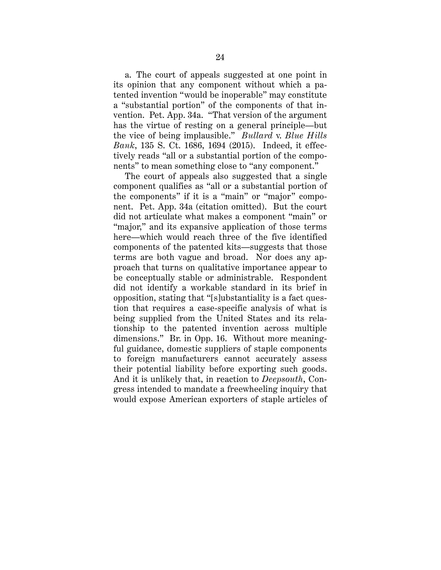a. The court of appeals suggested at one point in its opinion that any component without which a patented invention "would be inoperable" may constitute a "substantial portion" of the components of that invention. Pet. App. 34a. "That version of the argument has the virtue of resting on a general principle—but the vice of being implausible." *Bullard* v. *Blue Hills Bank*, 135 S. Ct. 1686, 1694 (2015). Indeed, it effectively reads "all or a substantial portion of the components" to mean something close to "any component."

The court of appeals also suggested that a single component qualifies as "all or a substantial portion of the components" if it is a "main" or "major" component. Pet. App. 34a (citation omitted). But the court did not articulate what makes a component "main" or "major," and its expansive application of those terms here—which would reach three of the five identified components of the patented kits—suggests that those terms are both vague and broad. Nor does any approach that turns on qualitative importance appear to be conceptually stable or administrable. Respondent did not identify a workable standard in its brief in opposition, stating that "[s]ubstantiality is a fact question that requires a case-specific analysis of what is being supplied from the United States and its relationship to the patented invention across multiple dimensions." Br. in Opp. 16. Without more meaningful guidance, domestic suppliers of staple components to foreign manufacturers cannot accurately assess their potential liability before exporting such goods. And it is unlikely that, in reaction to *Deepsouth*, Congress intended to mandate a freewheeling inquiry that would expose American exporters of staple articles of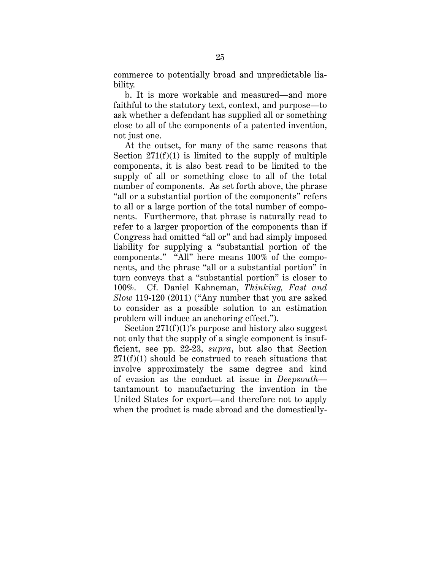commerce to potentially broad and unpredictable liability.

b. It is more workable and measured—and more faithful to the statutory text, context, and purpose—to ask whether a defendant has supplied all or something close to all of the components of a patented invention, not just one.

At the outset, for many of the same reasons that Section  $271(f)(1)$  is limited to the supply of multiple components, it is also best read to be limited to the supply of all or something close to all of the total number of components. As set forth above, the phrase "all or a substantial portion of the components" refers to all or a large portion of the total number of components. Furthermore, that phrase is naturally read to refer to a larger proportion of the components than if Congress had omitted "all or" and had simply imposed liability for supplying a "substantial portion of the components." "All" here means 100% of the components, and the phrase "all or a substantial portion" in turn conveys that a "substantial portion" is closer to 100%. Cf. Daniel Kahneman, *Thinking, Fast and Slow* 119-120 (2011) ("Any number that you are asked to consider as a possible solution to an estimation problem will induce an anchoring effect.").

Section  $271(f)(1)$ 's purpose and history also suggest not only that the supply of a single component is insufficient, see pp. 22-23, *supra*, but also that Section  $271(f)(1)$  should be construed to reach situations that involve approximately the same degree and kind of evasion as the conduct at issue in *Deepsouth* tantamount to manufacturing the invention in the United States for export—and therefore not to apply when the product is made abroad and the domestically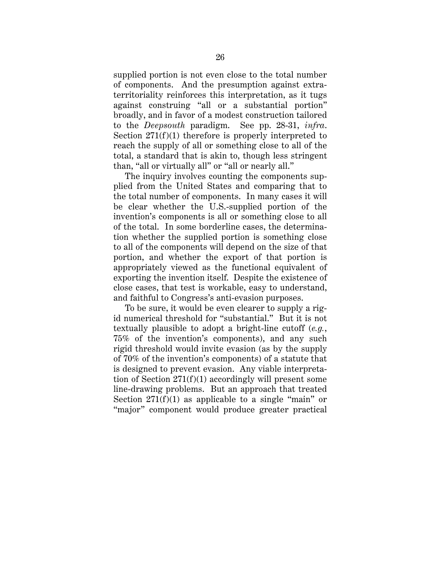supplied portion is not even close to the total number of components. And the presumption against extraterritoriality reinforces this interpretation, as it tugs against construing "all or a substantial portion" broadly, and in favor of a modest construction tailored to the *Deepsouth* paradigm. See pp. 28-31, *infra*. Section 271(f)(1) therefore is properly interpreted to reach the supply of all or something close to all of the total, a standard that is akin to, though less stringent than, "all or virtually all" or "all or nearly all."

The inquiry involves counting the components supplied from the United States and comparing that to the total number of components. In many cases it will be clear whether the U.S.-supplied portion of the invention's components is all or something close to all of the total. In some borderline cases, the determination whether the supplied portion is something close to all of the components will depend on the size of that portion, and whether the export of that portion is appropriately viewed as the functional equivalent of exporting the invention itself. Despite the existence of close cases, that test is workable, easy to understand, and faithful to Congress's anti-evasion purposes.

To be sure, it would be even clearer to supply a rigid numerical threshold for "substantial." But it is not textually plausible to adopt a bright-line cutoff (*e.g.*, 75% of the invention's components), and any such rigid threshold would invite evasion (as by the supply of 70% of the invention's components) of a statute that is designed to prevent evasion. Any viable interpretation of Section 271(f)(1) accordingly will present some line-drawing problems. But an approach that treated Section  $271(f)(1)$  as applicable to a single "main" or "major" component would produce greater practical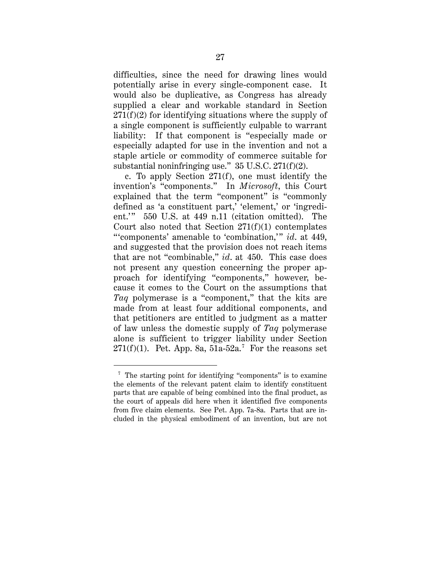difficulties, since the need for drawing lines would potentially arise in every single-component case. It would also be duplicative, as Congress has already supplied a clear and workable standard in Section  $271(f)(2)$  for identifying situations where the supply of a single component is sufficiently culpable to warrant liability: If that component is "especially made or especially adapted for use in the invention and not a staple article or commodity of commerce suitable for substantial noninfringing use." 35 U.S.C. 271(f)(2).

c. To apply Section 271(f), one must identify the invention's "components." In *Microsoft*, this Court explained that the term "component" is "commonly defined as 'a constituent part,' 'element,' or 'ingredient.'" 550 U.S. at 449 n.11 (citation omitted). The Court also noted that Section  $271(f)(1)$  contemplates "'components' amenable to 'combination," *id.* at 449, and suggested that the provision does not reach items that are not "combinable," *id*. at 450. This case does not present any question concerning the proper approach for identifying "components," however, because it comes to the Court on the assumptions that *Taq* polymerase is a "component," that the kits are made from at least four additional components, and that petitioners are entitled to judgment as a matter of law unless the domestic supply of *Taq* polymerase alone is sufficient to trigger liability under Section  $271(f)(1)$ . Pet. App. 8a, 51a-52a.<sup>7</sup> For the reasons set

 <sup>7</sup> The starting point for identifying "components" is to examine the elements of the relevant patent claim to identify constituent parts that are capable of being combined into the final product, as the court of appeals did here when it identified five components from five claim elements. See Pet. App. 7a-8a. Parts that are included in the physical embodiment of an invention, but are not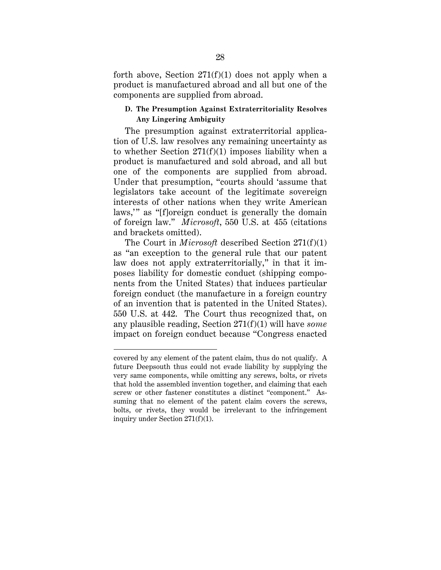forth above, Section  $271(f)(1)$  does not apply when a product is manufactured abroad and all but one of the components are supplied from abroad.

#### **D. The Presumption Against Extraterritoriality Resolves Any Lingering Ambiguity**

The presumption against extraterritorial application of U.S. law resolves any remaining uncertainty as to whether Section 271(f)(1) imposes liability when a product is manufactured and sold abroad, and all but one of the components are supplied from abroad. Under that presumption, "courts should 'assume that legislators take account of the legitimate sovereign interests of other nations when they write American laws,'" as "[f]oreign conduct is generally the domain of foreign law." *Microsoft*, 550 U.S. at 455 (citations and brackets omitted).

The Court in *Microsoft* described Section 271(f)(1) as "an exception to the general rule that our patent law does not apply extraterritorially," in that it imposes liability for domestic conduct (shipping components from the United States) that induces particular foreign conduct (the manufacture in a foreign country of an invention that is patented in the United States). 550 U.S. at 442. The Court thus recognized that, on any plausible reading, Section 271(f)(1) will have *some* impact on foreign conduct because "Congress enacted

 $\overline{a}$ 

covered by any element of the patent claim, thus do not qualify. A future Deepsouth thus could not evade liability by supplying the very same components, while omitting any screws, bolts, or rivets that hold the assembled invention together, and claiming that each screw or other fastener constitutes a distinct "component." Assuming that no element of the patent claim covers the screws, bolts, or rivets, they would be irrelevant to the infringement inquiry under Section 271(f)(1).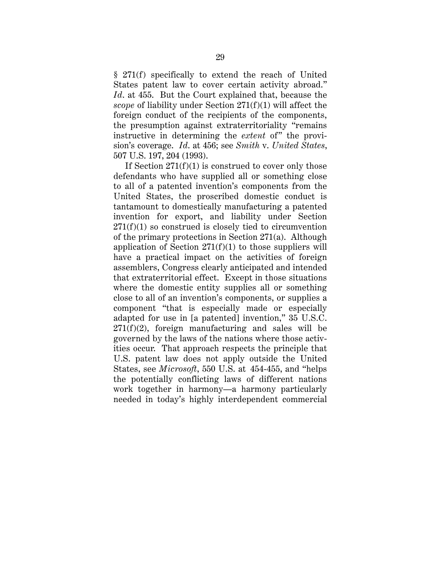§ 271(f) specifically to extend the reach of United States patent law to cover certain activity abroad." *Id*. at 455. But the Court explained that, because the *scope* of liability under Section 271(f)(1) will affect the foreign conduct of the recipients of the components, the presumption against extraterritoriality "remains instructive in determining the *extent* of" the provision's coverage. *Id*. at 456; see *Smith* v. *United States*, 507 U.S. 197, 204 (1993).

If Section  $271(f)(1)$  is construed to cover only those defendants who have supplied all or something close to all of a patented invention's components from the United States, the proscribed domestic conduct is tantamount to domestically manufacturing a patented invention for export, and liability under Section  $271(f)(1)$  so construed is closely tied to circumvention of the primary protections in Section 271(a). Although application of Section  $271(f)(1)$  to those suppliers will have a practical impact on the activities of foreign assemblers, Congress clearly anticipated and intended that extraterritorial effect. Except in those situations where the domestic entity supplies all or something close to all of an invention's components, or supplies a component "that is especially made or especially adapted for use in [a patented] invention," 35 U.S.C.  $271(f)(2)$ , foreign manufacturing and sales will be governed by the laws of the nations where those activities occur. That approach respects the principle that U.S. patent law does not apply outside the United States, see *Microsoft*, 550 U.S. at 454-455, and "helps the potentially conflicting laws of different nations work together in harmony—a harmony particularly needed in today's highly interdependent commercial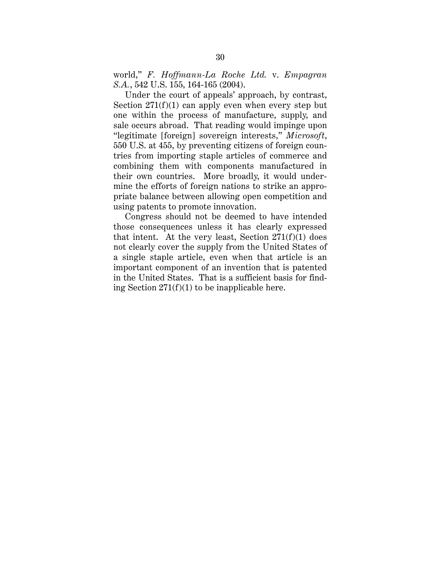world," *F. Hoffmann-La Roche Ltd.* v. *Empagran S.A.*, 542 U.S. 155, 164-165 (2004).

Under the court of appeals' approach, by contrast, Section  $271(f)(1)$  can apply even when every step but one within the process of manufacture, supply, and sale occurs abroad. That reading would impinge upon "legitimate [foreign] sovereign interests," *Microsoft*, 550 U.S. at 455, by preventing citizens of foreign countries from importing staple articles of commerce and combining them with components manufactured in their own countries. More broadly, it would undermine the efforts of foreign nations to strike an appropriate balance between allowing open competition and using patents to promote innovation.

Congress should not be deemed to have intended those consequences unless it has clearly expressed that intent. At the very least, Section  $271(f)(1)$  does not clearly cover the supply from the United States of a single staple article, even when that article is an important component of an invention that is patented in the United States. That is a sufficient basis for finding Section  $271(f)(1)$  to be inapplicable here.